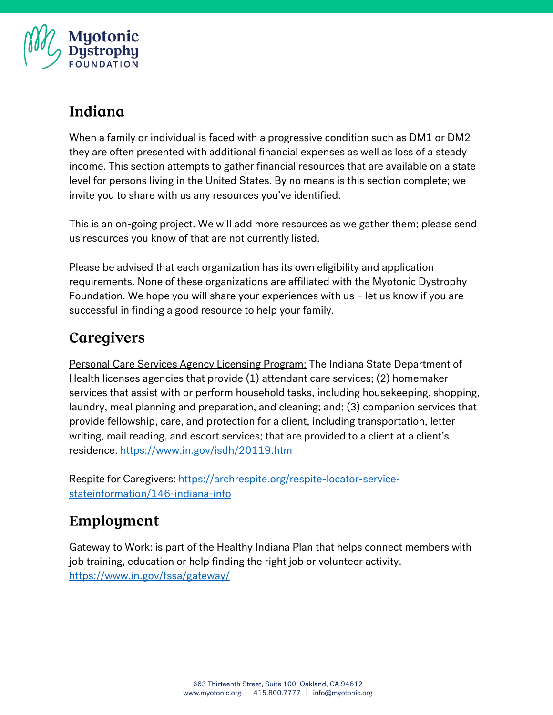

# Indiana

When a family or individual is faced with a progressive condition such as DM1 or DM2 they are often presented with additional financial expenses as well as loss of a steady income. This section attempts to gather financial resources that are available on a state level for persons living in the United States. By no means is this section complete; we invite you to share with us any resources you've identified.

This is an on-going project. We will add more resources as we gather them; please send us resources you know of that are not currently listed.

Please be advised that each organization has its own eligibility and application requirements. None of these organizations are affiliated with the Myotonic Dystrophy Foundation. We hope you will share your experiences with us – let us know if you are successful in finding a good resource to help your family.

# Caregivers

Personal Care Services Agency Licensing Program: The Indiana State Department of Health licenses agencies that provide (1) attendant care services; (2) homemaker services that assist with or perform household tasks, including housekeeping, shopping, laundry, meal planning and preparation, and cleaning; and; (3) companion services that provide fellowship, care, and protection for a client, including transportation, letter writing, mail reading, and escort services; that are provided to a client at a client's residence.<https://www.in.gov/isdh/20119.htm>

Respite for Caregivers: [https://archrespite.org/respite-locator-service](https://archrespite.org/respite-locator-service-stateinformation/146-indiana-info)[stateinformation/146-indiana-info](https://archrespite.org/respite-locator-service-stateinformation/146-indiana-info)

#### Employment

Gateway to Work: is part of the Healthy Indiana Plan that helps connect members with job training, education or help finding the right job or volunteer activity. <https://www.in.gov/fssa/gateway/>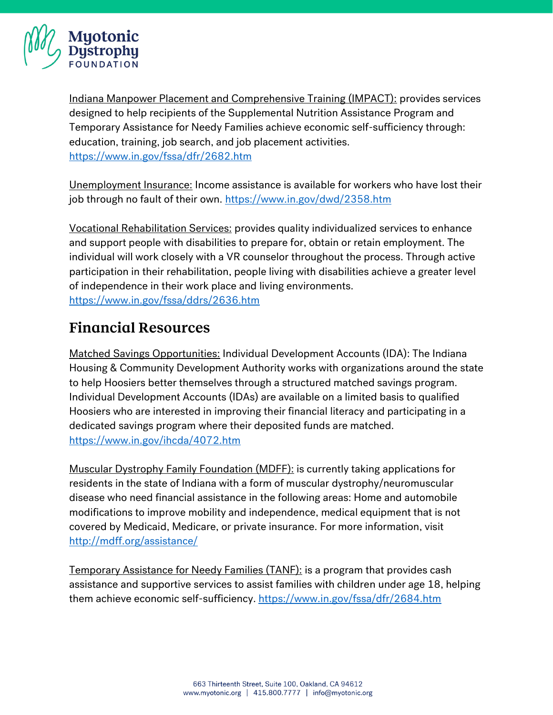

Indiana Manpower Placement and Comprehensive Training (IMPACT): provides services designed to help recipients of the Supplemental Nutrition Assistance Program and Temporary Assistance for Needy Families achieve economic self-sufficiency through: education, training, job search, and job placement activities. <https://www.in.gov/fssa/dfr/2682.htm>

Unemployment Insurance: Income assistance is available for workers who have lost their job through no fault of their own.<https://www.in.gov/dwd/2358.htm>

Vocational Rehabilitation Services: provides quality individualized services to enhance and support people with disabilities to prepare for, obtain or retain employment. The individual will work closely with a VR counselor throughout the process. Through active participation in their rehabilitation, people living with disabilities achieve a greater level of independence in their work place and living environments. <https://www.in.gov/fssa/ddrs/2636.htm>

# **Financial Resources**

Matched Savings Opportunities: Individual Development Accounts (IDA): The Indiana Housing & Community Development Authority works with organizations around the state to help Hoosiers better themselves through a structured matched savings program. Individual Development Accounts (IDAs) are available on a limited basis to qualified Hoosiers who are interested in improving their financial literacy and participating in a dedicated savings program where their deposited funds are matched. <https://www.in.gov/ihcda/4072.htm>

Muscular Dystrophy Family Foundation (MDFF): is currently taking applications for residents in the state of Indiana with a form of muscular dystrophy/neuromuscular disease who need financial assistance in the following areas: Home and automobile modifications to improve mobility and independence, medical equipment that is not covered by Medicaid, Medicare, or private insurance. For more information, visit <http://mdff.org/assistance/>

Temporary Assistance for Needy Families (TANF): is a program that provides cash assistance and supportive services to assist families with children under age 18, helping them achieve economic self-sufficiency.<https://www.in.gov/fssa/dfr/2684.htm>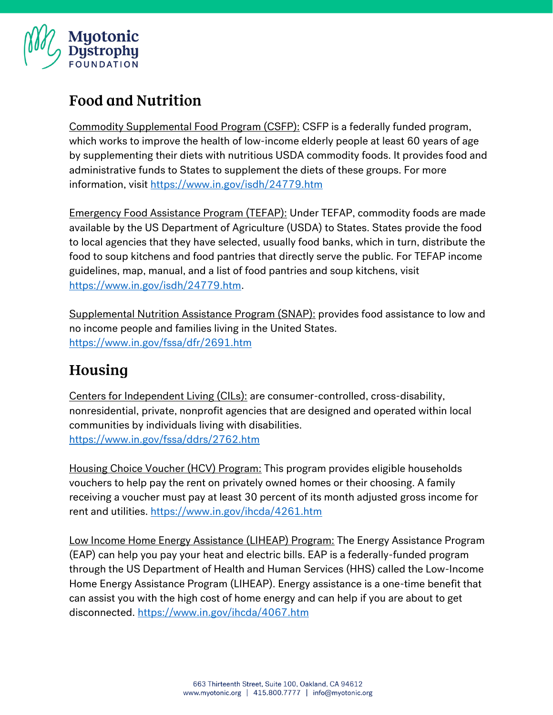

# **Food and Nutrition**

Commodity Supplemental Food Program (CSFP): CSFP is a federally funded program, which works to improve the health of low-income elderly people at least 60 years of age by supplementing their diets with nutritious USDA commodity foods. It provides food and administrative funds to States to supplement the diets of these groups. For more information, visit<https://www.in.gov/isdh/24779.htm>

Emergency Food Assistance Program (TEFAP): Under TEFAP, commodity foods are made available by the US Department of Agriculture (USDA) to States. States provide the food to local agencies that they have selected, usually food banks, which in turn, distribute the food to soup kitchens and food pantries that directly serve the public. For TEFAP income guidelines, map, manual, and a list of food pantries and soup kitchens, visit [https://www.in.gov/isdh/24779.htm.](https://www.in.gov/isdh/24779.htm)

Supplemental Nutrition Assistance Program (SNAP): provides food assistance to low and no income people and families living in the United States. <https://www.in.gov/fssa/dfr/2691.htm>

# Housing

Centers for Independent Living (CILs): are consumer-controlled, cross-disability, nonresidential, private, nonprofit agencies that are designed and operated within local communities by individuals living with disabilities. <https://www.in.gov/fssa/ddrs/2762.htm>

Housing Choice Voucher (HCV) Program: This program provides eligible households vouchers to help pay the rent on privately owned homes or their choosing. A family receiving a voucher must pay at least 30 percent of its month adjusted gross income for rent and utilities.<https://www.in.gov/ihcda/4261.htm>

Low Income Home Energy Assistance (LIHEAP) Program: The Energy Assistance Program (EAP) can help you pay your heat and electric bills. EAP is a federally-funded program through the US Department of Health and Human Services (HHS) called the Low-Income Home Energy Assistance Program (LIHEAP). Energy assistance is a one-time benefit that can assist you with the high cost of home energy and can help if you are about to get disconnected.<https://www.in.gov/ihcda/4067.htm>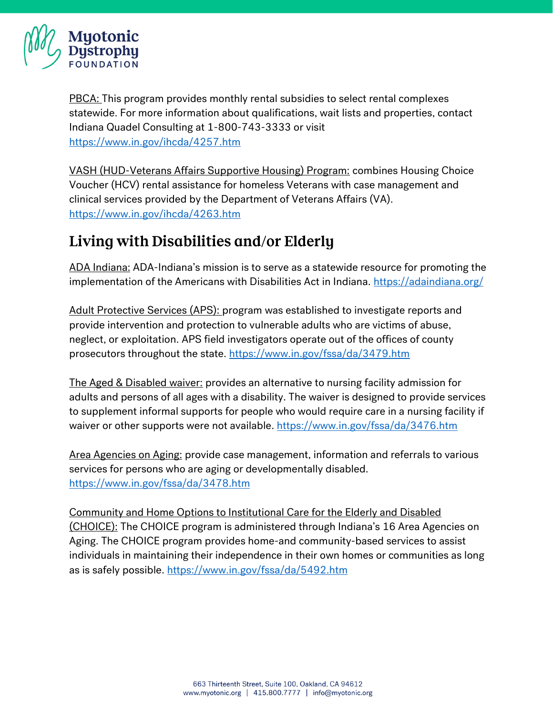

PBCA: This program provides monthly rental subsidies to select rental complexes statewide. For more information about qualifications, wait lists and properties, contact Indiana Quadel Consulting at 1-800-743-3333 or visit <https://www.in.gov/ihcda/4257.htm>

VASH (HUD-Veterans Affairs Supportive Housing) Program: combines Housing Choice Voucher (HCV) rental assistance for homeless Veterans with case management and clinical services provided by the Department of Veterans Affairs (VA). <https://www.in.gov/ihcda/4263.htm>

# Living with Disabilities and/or Elderly

ADA Indiana: ADA-Indiana's mission is to serve as a statewide resource for promoting the implementation of the Americans with Disabilities Act in Indiana.<https://adaindiana.org/>

Adult Protective Services (APS): program was established to investigate reports and provide intervention and protection to vulnerable adults who are victims of abuse, neglect, or exploitation. APS field investigators operate out of the offices of county prosecutors throughout the state.<https://www.in.gov/fssa/da/3479.htm>

The Aged & Disabled waiver: provides an alternative to nursing facility admission for adults and persons of all ages with a disability. The waiver is designed to provide services to supplement informal supports for people who would require care in a nursing facility if waiver or other supports were not available.<https://www.in.gov/fssa/da/3476.htm>

Area Agencies on Aging: provide case management, information and referrals to various services for persons who are aging or developmentally disabled. <https://www.in.gov/fssa/da/3478.htm>

Community and Home Options to Institutional Care for the Elderly and Disabled (CHOICE): The CHOICE program is administered through Indiana's 16 Area Agencies on Aging. The CHOICE program provides home-and community-based services to assist individuals in maintaining their independence in their own homes or communities as long as is safely possible.<https://www.in.gov/fssa/da/5492.htm>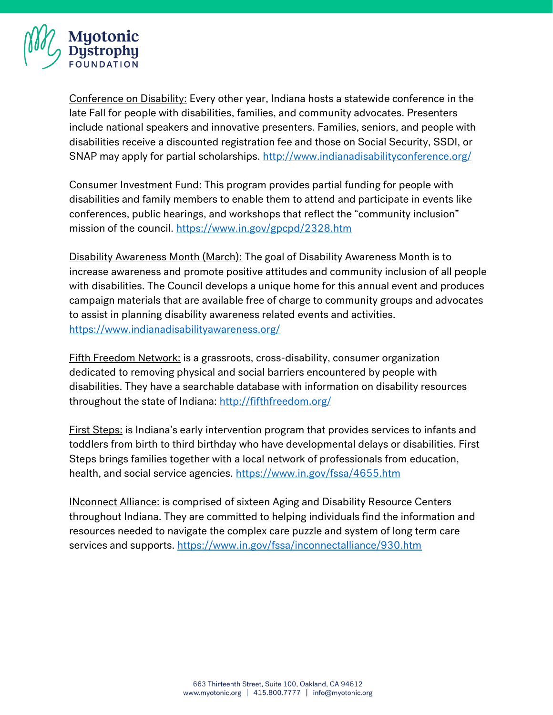

Conference on Disability: Every other year, Indiana hosts a statewide conference in the late Fall for people with disabilities, families, and community advocates. Presenters include national speakers and innovative presenters. Families, seniors, and people with disabilities receive a discounted registration fee and those on Social Security, SSDI, or SNAP may apply for partial scholarships.<http://www.indianadisabilityconference.org/>

Consumer Investment Fund: This program provides partial funding for people with disabilities and family members to enable them to attend and participate in events like conferences, public hearings, and workshops that reflect the "community inclusion" mission of the council.<https://www.in.gov/gpcpd/2328.htm>

Disability Awareness Month (March): The goal of Disability Awareness Month is to increase awareness and promote positive attitudes and community inclusion of all people with disabilities. The Council develops a unique home for this annual event and produces campaign materials that are available free of charge to community groups and advocates to assist in planning disability awareness related events and activities. <https://www.indianadisabilityawareness.org/>

Fifth Freedom Network: is a grassroots, cross-disability, consumer organization dedicated to removing physical and social barriers encountered by people with disabilities. They have a searchable database with information on disability resources throughout the state of Indiana:<http://fifthfreedom.org/>

First Steps: is Indiana's early intervention program that provides services to infants and toddlers from birth to third birthday who have developmental delays or disabilities. First Steps brings families together with a local network of professionals from education, health, and social service agencies.<https://www.in.gov/fssa/4655.htm>

INconnect Alliance: is comprised of sixteen Aging and Disability Resource Centers throughout Indiana. They are committed to helping individuals find the information and resources needed to navigate the complex care puzzle and system of long term care services and supports.<https://www.in.gov/fssa/inconnectalliance/930.htm>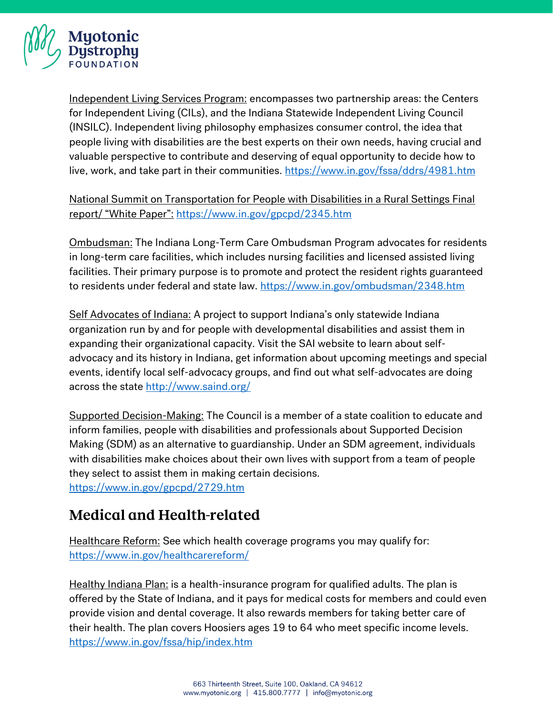

Independent Living Services Program: encompasses two partnership areas: the Centers for Independent Living (CILs), and the Indiana Statewide Independent Living Council (INSILC). Independent living philosophy emphasizes consumer control, the idea that people living with disabilities are the best experts on their own needs, having crucial and valuable perspective to contribute and deserving of equal opportunity to decide how to live, work, and take part in their communities.<https://www.in.gov/fssa/ddrs/4981.htm>

National Summit on Transportation for People with Disabilities in a Rural Settings Final report/ "White Paper": <https://www.in.gov/gpcpd/2345.htm>

Ombudsman: The Indiana Long-Term Care Ombudsman Program advocates for residents in long-term care facilities, which includes nursing facilities and licensed assisted living facilities. Their primary purpose is to promote and protect the resident rights guaranteed to residents under federal and state law.<https://www.in.gov/ombudsman/2348.htm>

Self Advocates of Indiana: A project to support Indiana's only statewide Indiana organization run by and for people with developmental disabilities and assist them in expanding their organizational capacity. Visit the SAI website to learn about selfadvocacy and its history in Indiana, get information about upcoming meetings and special events, identify local self-advocacy groups, and find out what self-advocates are doing across the state<http://www.saind.org/>

Supported Decision-Making: The Council is a member of a state coalition to educate and inform families, people with disabilities and professionals about Supported Decision Making (SDM) as an alternative to guardianship. Under an SDM agreement, individuals with disabilities make choices about their own lives with support from a team of people they select to assist them in making certain decisions.

<https://www.in.gov/gpcpd/2729.htm>

#### **Medical and Health-related**

Healthcare Reform: See which health coverage programs you may qualify for: <https://www.in.gov/healthcarereform/>

Healthy Indiana Plan: is a health-insurance program for qualified adults. The plan is offered by the State of Indiana, and it pays for medical costs for members and could even provide vision and dental coverage. It also rewards members for taking better care of their health. The plan covers Hoosiers ages 19 to 64 who meet specific income levels. <https://www.in.gov/fssa/hip/index.htm>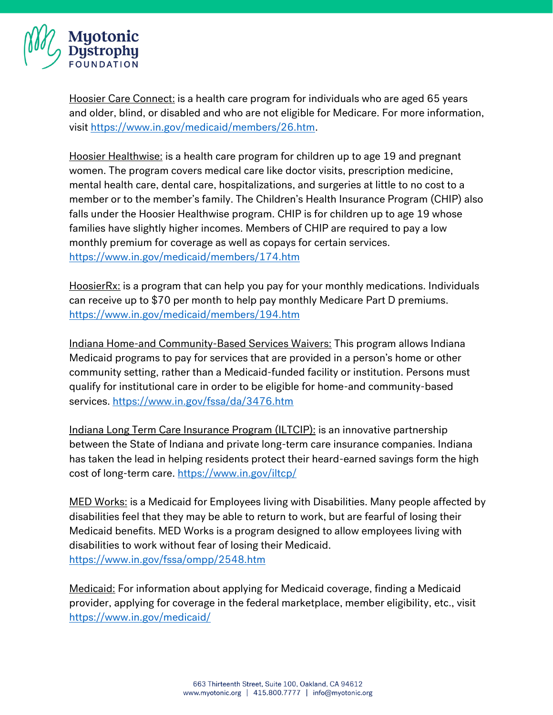

Hoosier Care Connect: is a health care program for individuals who are aged 65 years and older, blind, or disabled and who are not eligible for Medicare. For more information, visit [https://www.in.gov/medicaid/members/26.htm.](https://www.in.gov/medicaid/members/26.htm)

Hoosier Healthwise: is a health care program for children up to age 19 and pregnant women. The program covers medical care like doctor visits, prescription medicine, mental health care, dental care, hospitalizations, and surgeries at little to no cost to a member or to the member's family. The Children's Health Insurance Program (CHIP) also falls under the Hoosier Healthwise program. CHIP is for children up to age 19 whose families have slightly higher incomes. Members of CHIP are required to pay a low monthly premium for coverage as well as copays for certain services. <https://www.in.gov/medicaid/members/174.htm>

HoosierRx: is a program that can help you pay for your monthly medications. Individuals can receive up to \$70 per month to help pay monthly Medicare Part D premiums. <https://www.in.gov/medicaid/members/194.htm>

Indiana Home-and Community-Based Services Waivers: This program allows Indiana Medicaid programs to pay for services that are provided in a person's home or other community setting, rather than a Medicaid-funded facility or institution. Persons must qualify for institutional care in order to be eligible for home-and community-based services.<https://www.in.gov/fssa/da/3476.htm>

Indiana Long Term Care Insurance Program (ILTCIP): is an innovative partnership between the State of Indiana and private long-term care insurance companies. Indiana has taken the lead in helping residents protect their heard-earned savings form the high cost of long-term care.<https://www.in.gov/iltcp/>

MED Works: is a Medicaid for Employees living with Disabilities. Many people affected by disabilities feel that they may be able to return to work, but are fearful of losing their Medicaid benefits. MED Works is a program designed to allow employees living with disabilities to work without fear of losing their Medicaid. <https://www.in.gov/fssa/ompp/2548.htm>

Medicaid: For information about applying for Medicaid coverage, finding a Medicaid provider, applying for coverage in the federal marketplace, member eligibility, etc., visit <https://www.in.gov/medicaid/>